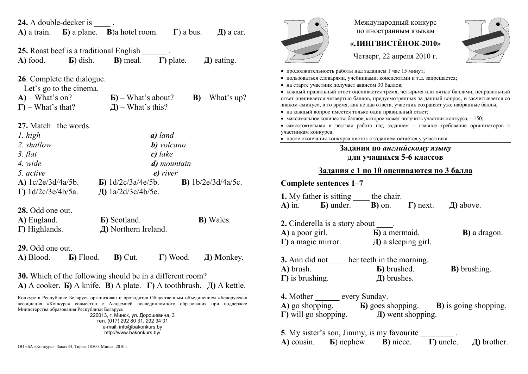| <b>24.</b> A double-decker is<br>A) a train. <b>b</b> ) a plane. <b>B</b> ) a hotel room. <b>I</b> ) a bus.<br>$\pi$ ) a car.                                                                                                                                                                                                                                             |  |  |
|---------------------------------------------------------------------------------------------------------------------------------------------------------------------------------------------------------------------------------------------------------------------------------------------------------------------------------------------------------------------------|--|--|
| <b>25.</b> Roast beef is a traditional English<br><b>B</b> ) meal. $\Gamma$ ) plate.<br>$\pi$ ) eating.<br>A) food.<br>$\bf{E})$ dish.                                                                                                                                                                                                                                    |  |  |
| 26. Complete the dialogue.<br>$-Let's go to the cinema.$<br>$A)$ – What's on?<br>$\mathbf{E}$ ) – What's about?<br>$B)$ – What's up?<br>$\overline{A}$ ) – What's this?<br>$\Gamma$ ) – What's that?                                                                                                                                                                      |  |  |
| 27. Match the words.<br>1. high<br>a) land<br>2. shallow<br>b) volcano<br>3. flat<br>$c)$ lake<br>4. wide<br>d) mountain<br>5. active<br>e) river<br>A) $1c/2e/3d/4a/5b$ .<br>$\bf{E})$ 1d/2c/3a/4e/5b.<br><b>B</b> ) $1b/2e/3d/4a/5c$ .<br>$\Gamma$ ) 1d/2c/3e/4b/5a.<br>Д) 1a/2d/3c/4b/5e.                                                                              |  |  |
| 28. Odd one out.<br>A) England.<br><b>B</b> ) Scotland.<br><b>B</b> ) Wales.<br>Д) Northern Ireland.<br>$\Gamma$ ) Highlands.                                                                                                                                                                                                                                             |  |  |
| 29. Odd one out.<br>A) Blood.<br><b>B</b> ) Flood. <b>B</b> ) Cut.<br>$\Gamma$ ) Wood.<br>$\pi$ ) Monkey.                                                                                                                                                                                                                                                                 |  |  |
| 30. Which of the following should be in a different room?<br>A) A cooker. <b>b</b> ) A knife. <b>B</b> ) A plate. $\Gamma$ ) A toothbrush. $\Box$ ) A kettle.                                                                                                                                                                                                             |  |  |
| Конкурс в Республике Беларусь организован и проводится Общественным объединением «Белорусская<br>ассоциация «Конкурс» совместно с Академией последипломного образования при поддержке<br>Министерства образования Республики Беларусь.<br>220013, г. Минск, ул. Дорошевича, 3<br>тел. (017) 292 80 31, 292 34 01<br>e-mail: info@bakonkurs.by<br>http://www.bakonkurs.by/ |  |  |

**<sup>Д</sup>)** brother. ОО «БА «Конкурс». Заказ 34. Тираж 18500. Минск. 2010 <sup>г</sup>.



 $\bullet$ 

 $\bullet$ 

Международный конкурс по иностранным языкам

## **«ЛИНГВИСТЁНОК-2010»**

Четверг, 22 апреля 2010 г.

| • продолжительность работы над заданием 1 час 15 минут;               |
|-----------------------------------------------------------------------|
| • пользоваться словарями, учебниками, конспектами и т.д. запрещается; |
| • на старте участник получает авансом 30 баллов;                      |

 каждый правильный ответ оценивается тремя, четырьмя или пятью баллами; неправильный ответ оценивается четвертью баллов, предусмотренных за данный вопрос, <sup>и</sup> засчитывается со знаком «минус», <sup>в</sup> то время, как не дав ответа, участник сохраняет уже набранные баллы;

на каждый вопрос имеется только один правильный ответ;

• максимальное количество баллов, которое может получить участник конкурса,  $-150$ ;

 самостоятельная и честная работа над заданием – главное требование организаторов <sup>к</sup> участникам конкурса;

после окончания конкурса листок <sup>с</sup> заданием остаётся у участника.

## **Задания по** *английскому языку* **для учащихся 5-6 классов**

## **Задания <sup>с</sup> 1 по 10 оцениваются по 3 балла**

| Complete sentences 1–7                                                                                                               |                                                                                                               |  |                                                                         |
|--------------------------------------------------------------------------------------------------------------------------------------|---------------------------------------------------------------------------------------------------------------|--|-------------------------------------------------------------------------|
| <b>1.</b> My father is sitting <u>equal</u> the chair.<br>A) in. <b>b</b> ) under. <b>b</b> ) on. $\Gamma$ ) next. <i>A</i> ) above. |                                                                                                               |  |                                                                         |
| <b>2.</b> Cinderella is a story about .                                                                                              |                                                                                                               |  |                                                                         |
|                                                                                                                                      | <b>A</b> ) a poor girl.<br><b>b</b> ) a mermaid.<br><b>c</b> ) a magic mirror.<br><b>d</b> ) a sleeping girl. |  | <b>B</b> ) a dragon.                                                    |
|                                                                                                                                      |                                                                                                               |  |                                                                         |
| A) brush.<br><b>B</b> ) brushed.<br><b>D</b> ) is brushing.<br><b>B</b> ) brushes.                                                   |                                                                                                               |  | <b>B</b> ) brushing.                                                    |
| 4. Mother ________ every Sunday.                                                                                                     |                                                                                                               |  |                                                                         |
|                                                                                                                                      |                                                                                                               |  | A) go shopping. <b>b</b> ) goes shopping. <b>b</b> ) is going shopping. |
|                                                                                                                                      |                                                                                                               |  |                                                                         |